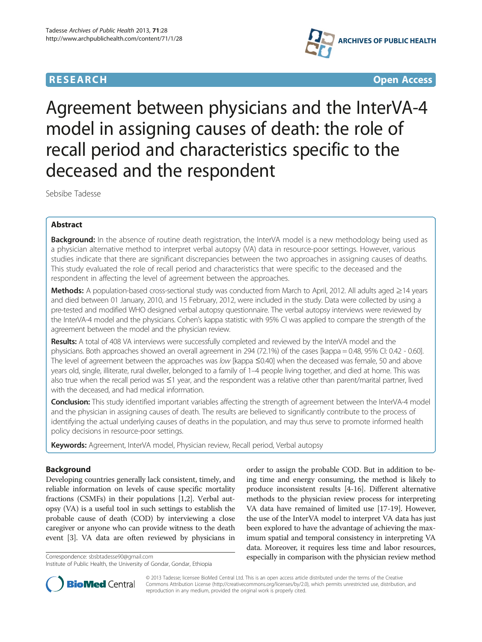



# Agreement between physicians and the InterVA-4 model in assigning causes of death: the role of recall period and characteristics specific to the deceased and the respondent

Sebsibe Tadesse

# Abstract

Background: In the absence of routine death registration, the InterVA model is a new methodology being used as a physician alternative method to interpret verbal autopsy (VA) data in resource-poor settings. However, various studies indicate that there are significant discrepancies between the two approaches in assigning causes of deaths. This study evaluated the role of recall period and characteristics that were specific to the deceased and the respondent in affecting the level of agreement between the approaches.

Methods: A population-based cross-sectional study was conducted from March to April, 2012. All adults aged ≥14 years and died between 01 January, 2010, and 15 February, 2012, were included in the study. Data were collected by using a pre-tested and modified WHO designed verbal autopsy questionnaire. The verbal autopsy interviews were reviewed by the InterVA-4 model and the physicians. Cohen's kappa statistic with 95% CI was applied to compare the strength of the agreement between the model and the physician review.

Results: A total of 408 VA interviews were successfully completed and reviewed by the InterVA model and the physicians. Both approaches showed an overall agreement in 294 (72.1%) of the cases [kappa = 0.48, 95% CI: 0.42 - 0.60]. The level of agreement between the approaches was low [kappa ≤0.40] when the deceased was female, 50 and above years old, single, illiterate, rural dweller, belonged to a family of 1–4 people living together, and died at home. This was also true when the recall period was ≤1 year, and the respondent was a relative other than parent/marital partner, lived with the deceased, and had medical information.

**Conclusion:** This study identified important variables affecting the strength of agreement between the InterVA-4 model and the physician in assigning causes of death. The results are believed to significantly contribute to the process of identifying the actual underlying causes of deaths in the population, and may thus serve to promote informed health policy decisions in resource-poor settings.

Keywords: Agreement, InterVA model, Physician review, Recall period, Verbal autopsy

# Background

Developing countries generally lack consistent, timely, and reliable information on levels of cause specific mortality fractions (CSMFs) in their populations [\[1,2](#page-5-0)]. Verbal autopsy (VA) is a useful tool in such settings to establish the probable cause of death (COD) by interviewing a close caregiver or anyone who can provide witness to the death event [\[3](#page-5-0)]. VA data are often reviewed by physicians in

order to assign the probable COD. But in addition to being time and energy consuming, the method is likely to produce inconsistent results [[4-16\]](#page-5-0). Different alternative methods to the physician review process for interpreting VA data have remained of limited use [\[17](#page-5-0)-[19](#page-5-0)]. However, the use of the InterVA model to interpret VA data has just been explored to have the advantage of achieving the maximum spatial and temporal consistency in interpreting VA data. Moreover, it requires less time and labor resources, Correspondence: [sbsbtadesse90@gmail.com](mailto:sbsbtadesse90@gmail.com) especially in comparison with the physician review method



© 2013 Tadesse; licensee BioMed Central Ltd. This is an open access article distributed under the terms of the Creative Commons Attribution License [\(http://creativecommons.org/licenses/by/2.0\)](http://creativecommons.org/licenses/by/2.0), which permits unrestricted use, distribution, and reproduction in any medium, provided the original work is properly cited.

Institute of Public Health, the University of Gondar, Gondar, Ethiopia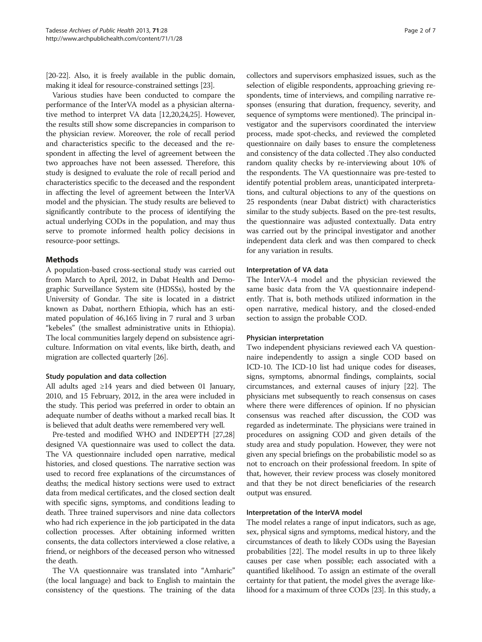[[20](#page-5-0)-[22\]](#page-5-0). Also, it is freely available in the public domain, making it ideal for resource-constrained settings [[23](#page-5-0)].

Various studies have been conducted to compare the performance of the InterVA model as a physician alternative method to interpret VA data [[12,20,24,25](#page-5-0)]. However, the results still show some discrepancies in comparison to the physician review. Moreover, the role of recall period and characteristics specific to the deceased and the respondent in affecting the level of agreement between the two approaches have not been assessed. Therefore, this study is designed to evaluate the role of recall period and characteristics specific to the deceased and the respondent in affecting the level of agreement between the InterVA model and the physician. The study results are believed to significantly contribute to the process of identifying the actual underlying CODs in the population, and may thus serve to promote informed health policy decisions in resource-poor settings.

## Methods

A population-based cross-sectional study was carried out from March to April, 2012, in Dabat Health and Demographic Surveillance System site (HDSSs), hosted by the University of Gondar. The site is located in a district known as Dabat, northern Ethiopia, which has an estimated population of 46,165 living in 7 rural and 3 urban "kebeles" (the smallest administrative units in Ethiopia). The local communities largely depend on subsistence agriculture. Information on vital events, like birth, death, and migration are collected quarterly [[26](#page-5-0)].

## Study population and data collection

All adults aged ≥14 years and died between 01 January, 2010, and 15 February, 2012, in the area were included in the study. This period was preferred in order to obtain an adequate number of deaths without a marked recall bias. It is believed that adult deaths were remembered very well.

Pre-tested and modified WHO and INDEPTH [\[27,28](#page-6-0)] designed VA questionnaire was used to collect the data. The VA questionnaire included open narrative, medical histories, and closed questions. The narrative section was used to record free explanations of the circumstances of deaths; the medical history sections were used to extract data from medical certificates, and the closed section dealt with specific signs, symptoms, and conditions leading to death. Three trained supervisors and nine data collectors who had rich experience in the job participated in the data collection processes. After obtaining informed written consents, the data collectors interviewed a close relative, a friend, or neighbors of the deceased person who witnessed the death.

The VA questionnaire was translated into "Amharic" (the local language) and back to English to maintain the consistency of the questions. The training of the data

collectors and supervisors emphasized issues, such as the selection of eligible respondents, approaching grieving respondents, time of interviews, and compiling narrative responses (ensuring that duration, frequency, severity, and sequence of symptoms were mentioned). The principal investigator and the supervisors coordinated the interview process, made spot-checks, and reviewed the completed questionnaire on daily bases to ensure the completeness and consistency of the data collected .They also conducted random quality checks by re-interviewing about 10% of the respondents. The VA questionnaire was pre-tested to identify potential problem areas, unanticipated interpretations, and cultural objections to any of the questions on 25 respondents (near Dabat district) with characteristics similar to the study subjects. Based on the pre-test results, the questionnaire was adjusted contextually. Data entry was carried out by the principal investigator and another independent data clerk and was then compared to check for any variation in results.

## Interpretation of VA data

The InterVA-4 model and the physician reviewed the same basic data from the VA questionnaire independently. That is, both methods utilized information in the open narrative, medical history, and the closed-ended section to assign the probable COD.

## Physician interpretation

Two independent physicians reviewed each VA questionnaire independently to assign a single COD based on ICD-10. The ICD-10 list had unique codes for diseases, signs, symptoms, abnormal findings, complaints, social circumstances, and external causes of injury [\[22](#page-5-0)]. The physicians met subsequently to reach consensus on cases where there were differences of opinion. If no physician consensus was reached after discussion, the COD was regarded as indeterminate. The physicians were trained in procedures on assigning COD and given details of the study area and study population. However, they were not given any special briefings on the probabilistic model so as not to encroach on their professional freedom. In spite of that, however, their review process was closely monitored and that they be not direct beneficiaries of the research output was ensured.

#### Interpretation of the InterVA model

The model relates a range of input indicators, such as age, sex, physical signs and symptoms, medical history, and the circumstances of death to likely CODs using the Bayesian probabilities [\[22\]](#page-5-0). The model results in up to three likely causes per case when possible; each associated with a quantified likelihood. To assign an estimate of the overall certainty for that patient, the model gives the average likelihood for a maximum of three CODs [\[23\]](#page-5-0). In this study, a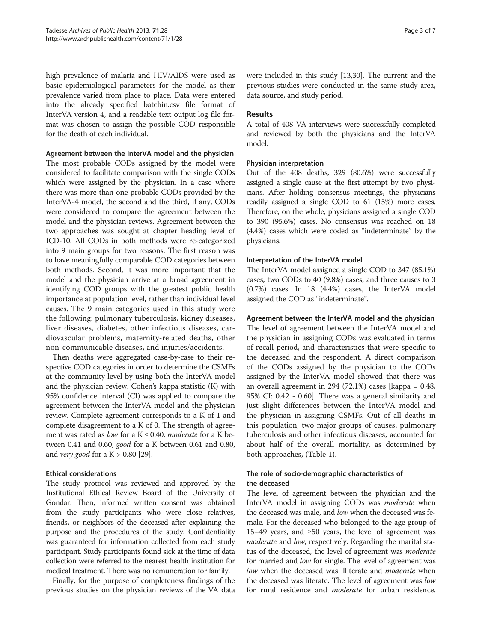high prevalence of malaria and HIV/AIDS were used as basic epidemiological parameters for the model as their prevalence varied from place to place. Data were entered into the already specified batchin.csv file format of InterVA version 4, and a readable text output log file format was chosen to assign the possible COD responsible for the death of each individual.

#### Agreement between the InterVA model and the physician

The most probable CODs assigned by the model were considered to facilitate comparison with the single CODs which were assigned by the physician. In a case where there was more than one probable CODs provided by the InterVA-4 model, the second and the third, if any, CODs were considered to compare the agreement between the model and the physician reviews. Agreement between the two approaches was sought at chapter heading level of ICD-10. All CODs in both methods were re-categorized into 9 main groups for two reasons. The first reason was to have meaningfully comparable COD categories between both methods. Second, it was more important that the model and the physician arrive at a broad agreement in identifying COD groups with the greatest public health importance at population level, rather than individual level causes. The 9 main categories used in this study were the following: pulmonary tuberculosis, kidney diseases, liver diseases, diabetes, other infectious diseases, cardiovascular problems, maternity-related deaths, other non-communicable diseases, and injuries/accidents.

Then deaths were aggregated case-by-case to their respective COD categories in order to determine the CSMFs at the community level by using both the InterVA model and the physician review. Cohen's kappa statistic (K) with 95% confidence interval (CI) was applied to compare the agreement between the InterVA model and the physician review. Complete agreement corresponds to a K of 1 and complete disagreement to a K of 0. The strength of agreement was rated as low for a  $K \le 0.40$ , moderate for a K between 0.41 and 0.60, good for a K between 0.61 and 0.80, and *very good* for a  $K > 0.80$  [\[29\]](#page-6-0).

## Ethical considerations

The study protocol was reviewed and approved by the Institutional Ethical Review Board of the University of Gondar. Then, informed written consent was obtained from the study participants who were close relatives, friends, or neighbors of the deceased after explaining the purpose and the procedures of the study. Confidentiality was guaranteed for information collected from each study participant. Study participants found sick at the time of data collection were referred to the nearest health institution for medical treatment. There was no remuneration for family.

Finally, for the purpose of completeness findings of the previous studies on the physician reviews of the VA data were included in this study [\[13,](#page-5-0)[30](#page-6-0)]. The current and the previous studies were conducted in the same study area, data source, and study period.

# Results

A total of 408 VA interviews were successfully completed and reviewed by both the physicians and the InterVA model.

## Physician interpretation

Out of the 408 deaths, 329 (80.6%) were successfully assigned a single cause at the first attempt by two physicians. After holding consensus meetings, the physicians readily assigned a single COD to 61 (15%) more cases. Therefore, on the whole, physicians assigned a single COD to 390 (95.6%) cases. No consensus was reached on 18 (4.4%) cases which were coded as "indeterminate" by the physicians.

## Interpretation of the InterVA model

The InterVA model assigned a single COD to 347 (85.1%) cases, two CODs to 40 (9.8%) cases, and three causes to 3 (0.7%) cases. In 18 (4.4%) cases, the InterVA model assigned the COD as "indeterminate".

## Agreement between the InterVA model and the physician

The level of agreement between the InterVA model and the physician in assigning CODs was evaluated in terms of recall period, and characteristics that were specific to the deceased and the respondent. A direct comparison of the CODs assigned by the physician to the CODs assigned by the InterVA model showed that there was an overall agreement in 294 (72.1%) cases [kappa =  $0.48$ , 95% CI: 0.42 - 0.60]. There was a general similarity and just slight differences between the InterVA model and the physician in assigning CSMFs. Out of all deaths in this population, two major groups of causes, pulmonary tuberculosis and other infectious diseases, accounted for about half of the overall mortality, as determined by both approaches, (Table [1\)](#page-3-0).

# The role of socio-demographic characteristics of the deceased

The level of agreement between the physician and the InterVA model in assigning CODs was moderate when the deceased was male, and *low* when the deceased was female. For the deceased who belonged to the age group of 15–49 years, and ≥50 years, the level of agreement was moderate and low, respectively. Regarding the marital status of the deceased, the level of agreement was *moderate* for married and low for single. The level of agreement was low when the deceased was illiterate and *moderate* when the deceased was literate. The level of agreement was low for rural residence and *moderate* for urban residence.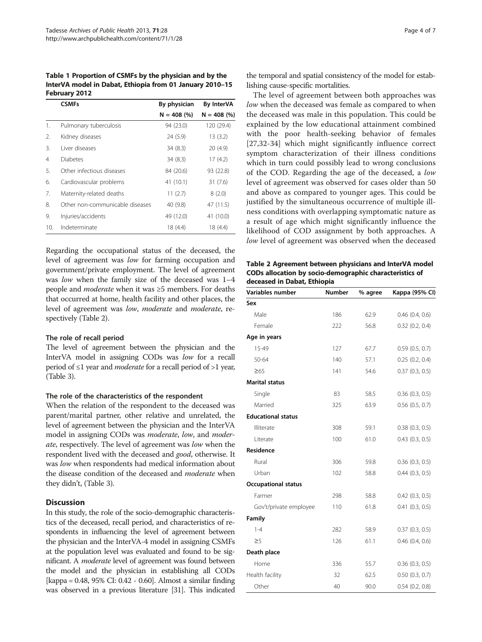<span id="page-3-0"></span>Table 1 Proportion of CSMFs by the physician and by the InterVA model in Dabat, Ethiopia from 01 January 2010–15 February 2012

|                 | <b>CSMFs</b>                    | By physician  | <b>By InterVA</b> |
|-----------------|---------------------------------|---------------|-------------------|
|                 |                                 | $N = 408$ (%) | $N = 408$ (%)     |
| 1.              | Pulmonary tuberculosis          | 94 (23.0)     | 120 (29.4)        |
| 2.              | Kidney diseases                 | 24 (5.9)      | 13(3.2)           |
| 3.              | Liver diseases                  | 34(8.3)       | 20 (4.9)          |
| 4               | Diabetes                        | 34(8.3)       | 17(4.2)           |
| 5.              | Other infectious diseases       | 84 (20.6)     | 93 (22.8)         |
| 6.              | Cardiovascular problems         | 41(10.1)      | 31(7.6)           |
| 7.              | Maternity-related deaths        | 11(2.7)       | 8(2.0)            |
| 8.              | Other non-communicable diseases | 40 (9.8)      | 47 (11.5)         |
| 9.              | Injuries/accidents              | 49 (12.0)     | 41 (10.0)         |
| 10 <sub>1</sub> | Indeterminate                   | 18 (4.4)      | 18(4.4)           |

Regarding the occupational status of the deceased, the level of agreement was low for farming occupation and government/private employment. The level of agreement was low when the family size of the deceased was 1–4 people and moderate when it was ≥5 members. For deaths that occurred at home, health facility and other places, the level of agreement was low, moderate and moderate, respectively (Table 2).

#### The role of recall period

The level of agreement between the physician and the InterVA model in assigning CODs was low for a recall period of  $\leq 1$  year and *moderate* for a recall period of  $>1$  year, (Table [3](#page-4-0)).

#### The role of the characteristics of the respondent

When the relation of the respondent to the deceased was parent/marital partner, other relative and unrelated, the level of agreement between the physician and the InterVA model in assigning CODs was moderate, low, and moderate, respectively. The level of agreement was low when the respondent lived with the deceased and good, otherwise. It was low when respondents had medical information about the disease condition of the deceased and *moderate* when they didn't, (Table [3](#page-4-0)).

## **Discussion**

In this study, the role of the socio-demographic characteristics of the deceased, recall period, and characteristics of respondents in influencing the level of agreement between the physician and the InterVA-4 model in assigning CSMFs at the population level was evaluated and found to be significant. A moderate level of agreement was found between the model and the physician in establishing all CODs [kappa = 0.48, 95% CI: 0.42 - 0.60]. Almost a similar finding was observed in a previous literature [[31](#page-6-0)]. This indicated

the temporal and spatial consistency of the model for establishing cause-specific mortalities.

The level of agreement between both approaches was low when the deceased was female as compared to when the deceased was male in this population. This could be explained by the low educational attainment combined with the poor health-seeking behavior of females [[27,32](#page-6-0)-[34\]](#page-6-0) which might significantly influence correct symptom characterization of their illness conditions which in turn could possibly lead to wrong conclusions of the COD. Regarding the age of the deceased, a low level of agreement was observed for cases older than 50 and above as compared to younger ages. This could be justified by the simultaneous occurrence of multiple illness conditions with overlapping symptomatic nature as a result of age which might significantly influence the likelihood of COD assignment by both approaches. A low level of agreement was observed when the deceased

Table 2 Agreement between physicians and InterVA model CODs allocation by socio-demographic characteristics of deceased in Dabat, Ethiopia

| Variables number           | Number | % agree | Kappa (95% CI)      |
|----------------------------|--------|---------|---------------------|
| Sex                        |        |         |                     |
| Male                       | 186    | 62.9    | $0.46$ $(0.4, 0.6)$ |
| Female                     | 222    | 56.8    | $0.32$ $(0.2, 0.4)$ |
| Age in years               |        |         |                     |
| 15-49                      | 127    | 67.7    | 0.59(0.5, 0.7)      |
| 50-64                      | 140    | 57.1    | 0.25(0.2, 0.4)      |
| $\geq 65$                  | 141    | 54.6    | 0.37(0.3, 0.5)      |
| <b>Marital status</b>      |        |         |                     |
| Single                     | 83     | 58.5    | 0.36(0.3, 0.5)      |
| Married                    | 325    | 63.9    | $0.56$ $(0.5, 0.7)$ |
| <b>Educational status</b>  |        |         |                     |
| Illiterate                 | 308    | 59.1    | 0.38(0.3, 0.5)      |
| Literate                   | 100    | 61.0    | $0.43$ $(0.3, 0.5)$ |
| Residence                  |        |         |                     |
| Rural                      | 306    | 59.8    | $0.36$ $(0.3, 0.5)$ |
| Urban                      | 102    | 58.8    | $0.44$ $(0.3, 0.5)$ |
| <b>Occupational status</b> |        |         |                     |
| Farmer                     | 298    | 58.8    | $0.42$ $(0.3, 0.5)$ |
| Gov't/private employee     | 110    | 61.8    | 0.41(0.3, 0.5)      |
| Family                     |        |         |                     |
| $1 - 4$                    | 282    | 58.9    | 0.37(0.3, 0.5)      |
| $\geq$ 5                   | 126    | 61.1    | $0.46$ $(0.4, 0.6)$ |
| Death place                |        |         |                     |
| Home                       | 336    | 55.7    | 0.36(0.3, 0.5)      |
| Health facility            | 32     | 62.5    | 0.50(0.3, 0.7)      |
| Other                      | 40     | 90.0    | 0.54(0.2, 0.8)      |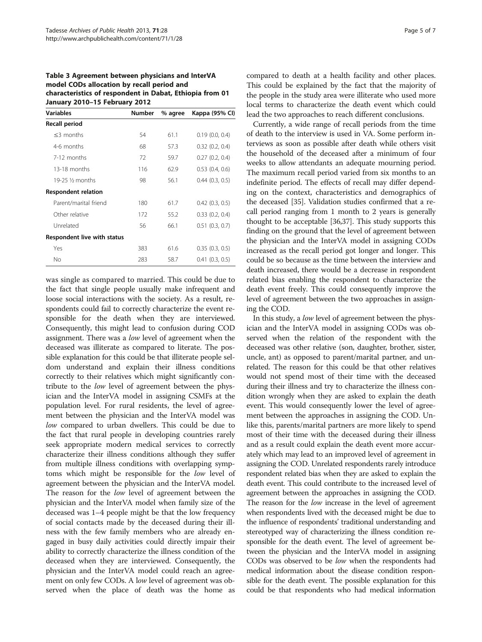<span id="page-4-0"></span>Table 3 Agreement between physicians and InterVA model CODs allocation by recall period and characteristics of respondent in Dabat, Ethiopia from 01 January 2010–15 February 2012

| Variables                          | <b>Number</b> | % agree | Kappa (95% CI) |
|------------------------------------|---------------|---------|----------------|
| Recall period                      |               |         |                |
| $<$ 3 months                       | 54            | 61.1    | 0.19(0.0, 0.4) |
| 4-6 months                         | 68            | 57.3    | 0.32(0.2, 0.4) |
| 7-12 months                        | 72            | 59.7    | 0.27(0.2, 0.4) |
| 13-18 months                       | 116           | 62.9    | 0.53(0.4, 0.6) |
| 19-25 ½ months                     | 98            | 56.1    | 0.44(0.3, 0.5) |
| <b>Respondent relation</b>         |               |         |                |
| Parent/marital friend              | 180           | 61.7    | 0.42(0.3, 0.5) |
| Other relative                     | 172           | 55.2    | 0.33(0.2, 0.4) |
| Unrelated                          | 56            | 66.1    | 0.51(0.3, 0.7) |
| <b>Respondent live with status</b> |               |         |                |
| Yes                                | 383           | 61.6    | 0.35(0.3, 0.5) |
| No                                 | 283           | 58.7    | 0.41(0.3, 0.5) |

was single as compared to married. This could be due to the fact that single people usually make infrequent and loose social interactions with the society. As a result, respondents could fail to correctly characterize the event responsible for the death when they are interviewed. Consequently, this might lead to confusion during COD assignment. There was a low level of agreement when the deceased was illiterate as compared to literate. The possible explanation for this could be that illiterate people seldom understand and explain their illness conditions correctly to their relatives which might significantly contribute to the low level of agreement between the physician and the InterVA model in assigning CSMFs at the population level. For rural residents, the level of agreement between the physician and the InterVA model was low compared to urban dwellers. This could be due to the fact that rural people in developing countries rarely seek appropriate modern medical services to correctly characterize their illness conditions although they suffer from multiple illness conditions with overlapping symptoms which might be responsible for the low level of agreement between the physician and the InterVA model. The reason for the low level of agreement between the physician and the InterVA model when family size of the deceased was 1–4 people might be that the low frequency of social contacts made by the deceased during their illness with the few family members who are already engaged in busy daily activities could directly impair their ability to correctly characterize the illness condition of the deceased when they are interviewed. Consequently, the physician and the InterVA model could reach an agreement on only few CODs. A low level of agreement was observed when the place of death was the home as

compared to death at a health facility and other places. This could be explained by the fact that the majority of the people in the study area were illiterate who used more local terms to characterize the death event which could lead the two approaches to reach different conclusions.

Currently, a wide range of recall periods from the time of death to the interview is used in VA. Some perform interviews as soon as possible after death while others visit the household of the deceased after a minimum of four weeks to allow attendants an adequate mourning period. The maximum recall period varied from six months to an indefinite period. The effects of recall may differ depending on the context, characteristics and demographics of the deceased [[35](#page-6-0)]. Validation studies confirmed that a recall period ranging from 1 month to 2 years is generally thought to be acceptable [\[36,37](#page-6-0)]. This study supports this finding on the ground that the level of agreement between the physician and the InterVA model in assigning CODs increased as the recall period got longer and longer. This could be so because as the time between the interview and death increased, there would be a decrease in respondent related bias enabling the respondent to characterize the death event freely. This could consequently improve the level of agreement between the two approaches in assigning the COD.

In this study, a low level of agreement between the physician and the InterVA model in assigning CODs was observed when the relation of the respondent with the deceased was other relative (son, daughter, brother, sister, uncle, ant) as opposed to parent/marital partner, and unrelated. The reason for this could be that other relatives would not spend most of their time with the deceased during their illness and try to characterize the illness condition wrongly when they are asked to explain the death event. This would consequently lower the level of agreement between the approaches in assigning the COD. Unlike this, parents/marital partners are more likely to spend most of their time with the deceased during their illness and as a result could explain the death event more accurately which may lead to an improved level of agreement in assigning the COD. Unrelated respondents rarely introduce respondent related bias when they are asked to explain the death event. This could contribute to the increased level of agreement between the approaches in assigning the COD. The reason for the low increase in the level of agreement when respondents lived with the deceased might be due to the influence of respondents' traditional understanding and stereotyped way of characterizing the illness condition responsible for the death event. The level of agreement between the physician and the InterVA model in assigning CODs was observed to be low when the respondents had medical information about the disease condition responsible for the death event. The possible explanation for this could be that respondents who had medical information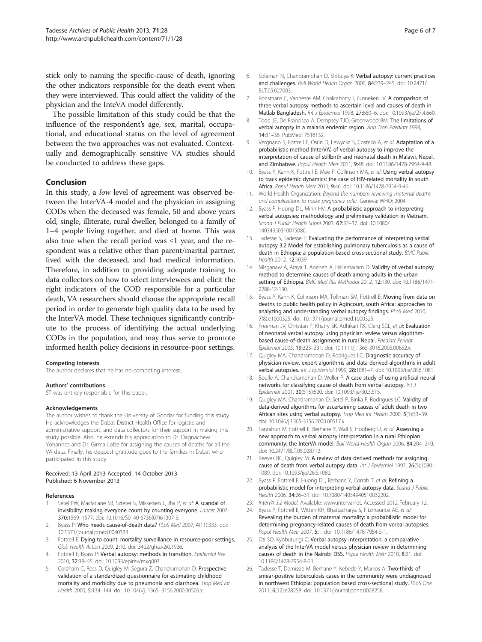<span id="page-5-0"></span>stick only to naming the specific-cause of death, ignoring the other indicators responsible for the death event when they were interviewed. This could affect the validity of the physician and the InteVA model differently.

The possible limitation of this study could be that the influence of the respondent's age, sex, marital, occupational, and educational status on the level of agreement between the two approaches was not evaluated. Contextually and demographically sensitive VA studies should be conducted to address these gaps.

#### Conclusion

In this study, a low level of agreement was observed between the InterVA-4 model and the physician in assigning CODs when the deceased was female, 50 and above years old, single, illiterate, rural dweller, belonged to a family of 1–4 people living together, and died at home. This was also true when the recall period was  $\leq 1$  year, and the respondent was a relative other than parent/marital partner, lived with the deceased, and had medical information. Therefore, in addition to providing adequate training to data collectors on how to select interviewees and elicit the right indicators of the COD responsible for a particular death, VA researchers should choose the appropriate recall period in order to generate high quality data to be used by the InterVA model. These techniques significantly contribute to the process of identifying the actual underlying CODs in the population, and may thus serve to promote informed health policy decisions in resource-poor settings.

#### Competing interests

The author declares that he has no competing interest.

#### Authors' contributions

ST was entirely responsible for this paper.

#### Acknowledgements

The author wishes to thank the University of Gondar for funding this study. He acknowledges the Dabat District Health Office for logistic and administrative support, and data collectors for their support in making this study possible. Also, he extends his appreciation to Dr. Dagnachew Yohannes and Dr. Girma Lobe for assigning the causes of deaths for all the VA data. Finally, his deepest gratitude goes to the families in Dabat who participated in this study.

#### Received: 13 April 2013 Accepted: 14 October 2013 Published: 6 November 2013

#### References

- 1. Setel PW, Macfarlane SB, Szreter S, Mikkelsen L, Jha P, et al: A scandal of invisibility: making everyone count by counting everyone. Lancet 2007, 370:1569–1577. doi: 10.1016/S0140-6736(07)61307-5.
- Byass P: Who needs cause-of-death data? PLoS Med 2007, 4(11):333. doi: 10.1371/journal.pmed.0040333.
- 3. Fottrell E: Dying to count: mortality surveillance in resource-poor settings. Glob Health Action 2009, 2:10. doi: 3402/gha.v2i0.1926.
- Fottrell E, Byass P: Verbal autopsy: methods in transition. Epidemiol Rev 2010, 32:38–55. doi: 10.1093/epirev/mxq003.
- Coldham C, Ross D, Quigley M, Segura Z, Chandramohan D: Prospective validation of a standardized questionnaire for estimating childhood mortality and morbidity due to pneumonia and diarrhoea. Trop Med Int Health 2000, 5:134–144. doi: 10.1046/j. 1365–3156.2000.00505.x.
- 6. Soleman N, Chandramohan D, Shibuya K: Verbal autopsy: current practices and challenges. Bull World Health Organ 2006, 84:239–245. doi: 10.2471/ BLT.05.027003.
- 7. Ronsmans C, Vanneste AM, Chakraborty J, Ginneken JV: A comparison of three verbal autopsy methods to ascertain level and causes of death in Matlab Bangladesh. Int J Epidemiol 1998, 27:660–6. doi: 10.1093/ije/27.4.660.
- 8. Todd JF, De Francisco A, Dempsey TJO, Greenwood BM: The limitations of verbal autopsy in a malaria endemic region. Ann Trop Paediatr 1994, 14:31–36. PubMed: 7516132.
- 9. Vergnano S, Fottrell E, Osrin D, Lewycka S, Costello A, et al: Adaptation of a probabilistic method (InterVA) of verbal autopsy to improve the interpretation of cause of stillbirth and neonatal death in Malawi, Nepal, and Zimbabwe. Popul Health Metr 2011, 9:48. doi: 10.1186/1478-7954-9-48.
- 10. Byass P, Kahn K, Fottrell E, Mee P, Collinson MA, et al: Using verbal autopsy to track epidemic dynamics: the case of HIV-related mortality in south Africa. Popul Health Metr 2011, 9:46. doi: 10.1186/1478-7954-9-46.
- 11. World Health Organization: Beyond the numbers: reviewing maternal deaths and complications to make pregnancy safer. Geneva: WHO; 2004.
- 12. Byass P, Huong DL, Minh HV: A probabilistic approach to interpreting verbal autopsies: methodology and preliminary validation in Vietnam. Scand J Public Health Suppl 2003, 62:32–37. doi: 10.1080/ 14034950310015086.
- 13. Tadesse S, Tadesse T: Evaluating the performance of interpreting verbal autopsy 3.2 Model for establishing pulmonary tuberculosis as a cause of death in Ethiopia: a population-based cross-sectional study. BMC Public Health 2012, 12:1039.
- 14. Misganaw A, Araya T, Aneneh A, Hailemariam D: Validity of verbal autopsy method to determine causes of death among adults in the urban setting of Ethiopia. BMC Med Res Methodol 2012, 12:130. doi: 10.1186/1471- 2288-12-130.
- 15. Byass P, Kahn K, Collinson MA, Tollman SM, Fottrell E: Moving from data on deaths to public health policy in Agincourt, south Africa: approaches to analyzing and understanding verbal autopsy findings. PLoS Med 2010, 7(8):e1000325. doi: 10.1371/journal.pmed.1000325.
- 16. Freeman JV, Christian P, Khatry SK, Adhikari RK, Clerq SCL, et al: Evaluation of neonatal verbal autopsy using physician review versus algorithmbased cause-of-death assignment in rural Nepal. Paediatr Perinat Epidemiol 2005, 19:323–331. doi: 10.1111/j.1365-3016.2005.00652.x.
- 17. Quigley MA, Chandramohan D, Rodrigues LC: Diagnostic accuracy of physician review, expert algorithms and data derived algorithms in adult verbal autopsies. Int J Epidemiol 1999, 28:1081–7. doi: 10.1093/ije/28.6.1081.
- 18. Boulle A, Chandramohan D, Weller P: A case study of using artificial neural networks for classifying cause of death from verbal autopsy. Int J Epidemiol 2001, 30(515):520. doi: 10.1093/ije/30.3.515.
- 19. Quigley MA, Chandramohan D, Setel P, Binka F, Rodrigues LC: Validity of data-derived algorithms for ascertaining causes of adult death in two African sites using verbal autopsy. Trop Med Int Health 2000, 5(1):33–39. doi: 10.1046/j.1365-3156.2000.00517.x.
- 20. Fantahun M, Fottrell E, Berhane Y, Wall S, Hogberg U, et al: Assessing a new approach to verbal autopsy interpretation in a rural Ethiopian community: the InterVA model. Bull World Health Organ 2006, 84:204–210. doi: 10.2471/BLT.05.028712.
- 21. Reeves BC, Quigley M: A review of data derived methods for assigning cause of death from verbal autopsy data. Int J Epidemiol 1997, 26(5):1080-1089. doi: 10.1093/ije/26.5.1080.
- 22. Byass P, Fottrell E, Huong DL, Berhane Y, Corrah T, et al: Refining a probabilistic model for interpreting verbal autopsy data. Scand J Public Health 2006, 34:26–31. doi: 10.1080/14034940510032202.
- 23. InterVA 3.2 Model. Available: [www.interva.net](http://www.interva.net). Accessed 2012 February 12.
- 24. Byass P, Fottrell E, Witten KH, Bhattacharya S, Fitzmaurice AE, et al: Revealing the burden of maternal mortality: a probabilistic model for determining pregnancy-related causes of death from verbal autopsies. Popul Health Metr 2007, 5:1. doi: 10.1186/1478-7954-5-1.
- 25. Oti SO, Kyobutungi C: Verbal autopsy interpretation: a comparative analysis of the InterVA model versus physician review in determining causes of death in the Nairobi DSS. Popul Health Metr 2010, 8:21. doi: 10.1186/1478-7954-8-21.
- 26. Tadesse T, Demissie M, Berhane Y, Kebede Y, Markos A: Two-thirds of smear-positive tuberculosis cases in the community were undiagnosed in northwest Ethiopia: population based cross-sectional study. PLoS One 2011, 6(12):e28258. doi: 10.1371/journal.pone.0028258.